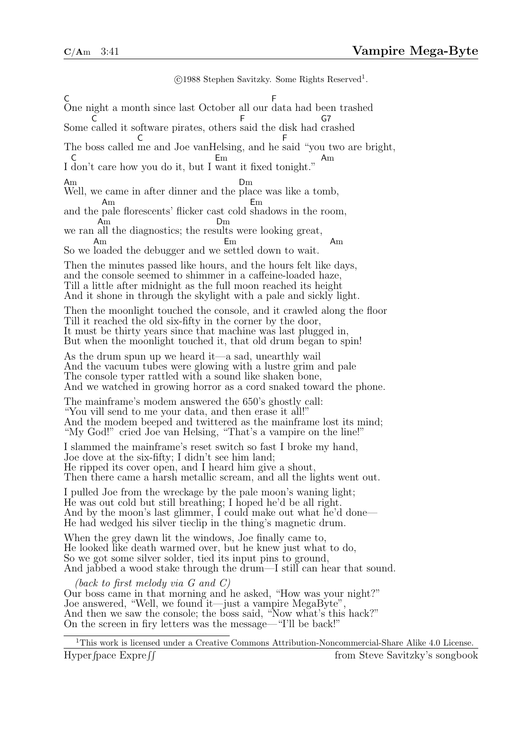©1988 Stephen Savitzky. Some Rights Reserved<sup>1</sup>. C One night a month since last October all our data had been trashed F Some called it software pirates, others said the disk had crashed  $\tilde{\mathsf{C}}$ F G7 The boss called me and Joe vanHelsing, and he said "you two are bright, C F I C don't care how you do it, but I want it fixed tonight." Em Am Am Well, we came in after dinner and the place was like a tomb, Dm and the Am pale florescents' flicker cast cold shadows in the room, Em we ran all the diagnostics; the results were looking great, Am Dm So we loaded the debugger and we settled down to wait. Am Em Am Then the minutes passed like hours, and the hours felt like days, and the console seemed to shimmer in a caffeine-loaded haze, Till a little after midnight as the full moon reached its height And it shone in through the skylight with a pale and sickly light. Then the moonlight touched the console, and it crawled along the floor Till it reached the old six-fifty in the corner by the door, It must be thirty years since that machine was last plugged in, But when the moonlight touched it, that old drum began to spin! As the drum spun up we heard it—a sad, unearthly wail And the vacuum tubes were glowing with a lustre grim and pale The console typer rattled with a sound like shaken bone, And we watched in growing horror as a cord snaked toward the phone. The mainframe's modem answered the 650's ghostly call: "You vill send to me your data, and then erase it all!" And the modem beeped and twittered as the mainframe lost its mind; "My God!" cried Joe van Helsing, "That's a vampire on the line!" I slammed the mainframe's reset switch so fast I broke my hand, Joe dove at the six-fifty; I didn't see him land; He ripped its cover open, and I heard him give a shout, Then there came a harsh metallic scream, and all the lights went out. I pulled Joe from the wreckage by the pale moon's waning light; He was out cold but still breathing; I hoped he'd be all right. And by the moon's last glimmer,  $\tilde{I}$  could make out what he'd done— He had wedged his silver tieclip in the thing's magnetic drum. When the grey dawn lit the windows, Joe finally came to, He looked like death warmed over, but he knew just what to do, So we got some silver solder, tied its input pins to ground, And jabbed a wood stake through the drum—I still can hear that sound. (back to first melody via G and C) Our boss came in that morning and he asked, "How was your night?" Joe answered, "Well, we found it—just a vampire MegaByte", And then we saw the console; the boss said, "Now what's this hack?" On the screen in firy letters was the message—"I'll be back!"

 $^1\mathrm{This}$  work is licensed under a Creative Commons Attribution-Noncommercial-Share Alike 4.0 License. Hyper fpace  $Expreff$ from Steve Savitzky's songbook